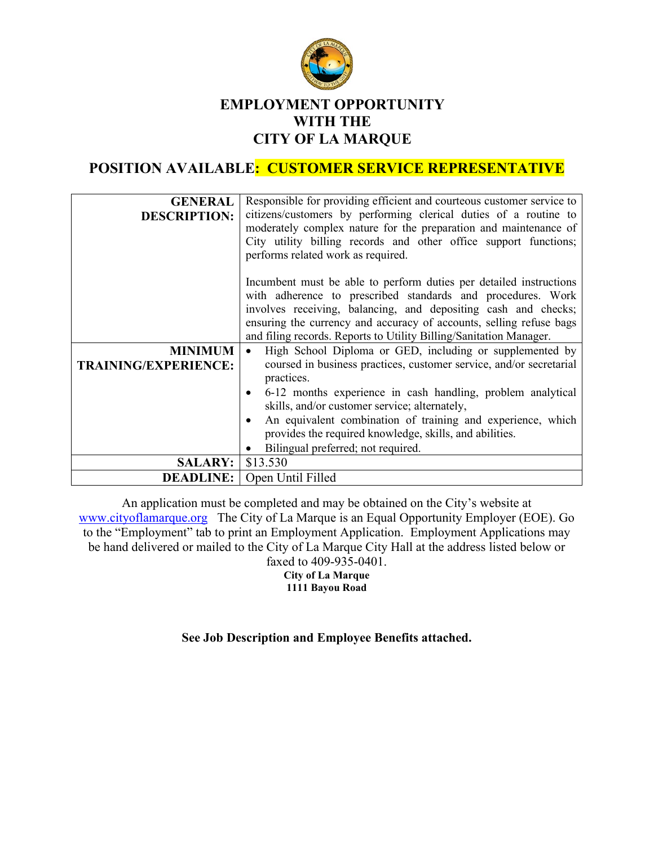

## **EMPLOYMENT OPPORTUNITY WITH THE CITY OF LA MARQUE**

# **POSITION AVAILABLE: CUSTOMER SERVICE REPRESENTATIVE**

| <b>GENERAL</b><br><b>DESCRIPTION:</b>         | Responsible for providing efficient and courteous customer service to<br>citizens/customers by performing clerical duties of a routine to<br>moderately complex nature for the preparation and maintenance of<br>City utility billing records and other office support functions; |  |  |
|-----------------------------------------------|-----------------------------------------------------------------------------------------------------------------------------------------------------------------------------------------------------------------------------------------------------------------------------------|--|--|
|                                               | performs related work as required.                                                                                                                                                                                                                                                |  |  |
|                                               | Incumbent must be able to perform duties per detailed instructions<br>with adherence to prescribed standards and procedures. Work<br>involves receiving, balancing, and depositing cash and checks;                                                                               |  |  |
|                                               | ensuring the currency and accuracy of accounts, selling refuse bags<br>and filing records. Reports to Utility Billing/Sanitation Manager.                                                                                                                                         |  |  |
| <b>MINIMUM</b><br><b>TRAINING/EXPERIENCE:</b> | High School Diploma or GED, including or supplemented by<br>$\bullet$<br>coursed in business practices, customer service, and/or secretarial<br>practices.                                                                                                                        |  |  |
|                                               | 6-12 months experience in cash handling, problem analytical<br>skills, and/or customer service; alternately,                                                                                                                                                                      |  |  |
|                                               | An equivalent combination of training and experience, which<br>provides the required knowledge, skills, and abilities.<br>Bilingual preferred; not required.                                                                                                                      |  |  |
| <b>SALARY:</b>                                | \$13.530                                                                                                                                                                                                                                                                          |  |  |
| <b>DEADLINE:</b>                              | Open Until Filled                                                                                                                                                                                                                                                                 |  |  |

An application must be completed and may be obtained on the City's website at [www.cityoflamarque.org](http://www.cityoflamarque.org/) The City of La Marque is an Equal Opportunity Employer (EOE). Go to the "Employment" tab to print an Employment Application. Employment Applications may be hand delivered or mailed to the City of La Marque City Hall at the address listed below or faxed to 409-935-0401. **City of La Marque 1111 Bayou Road**

## **See Job Description and Employee Benefits attached.**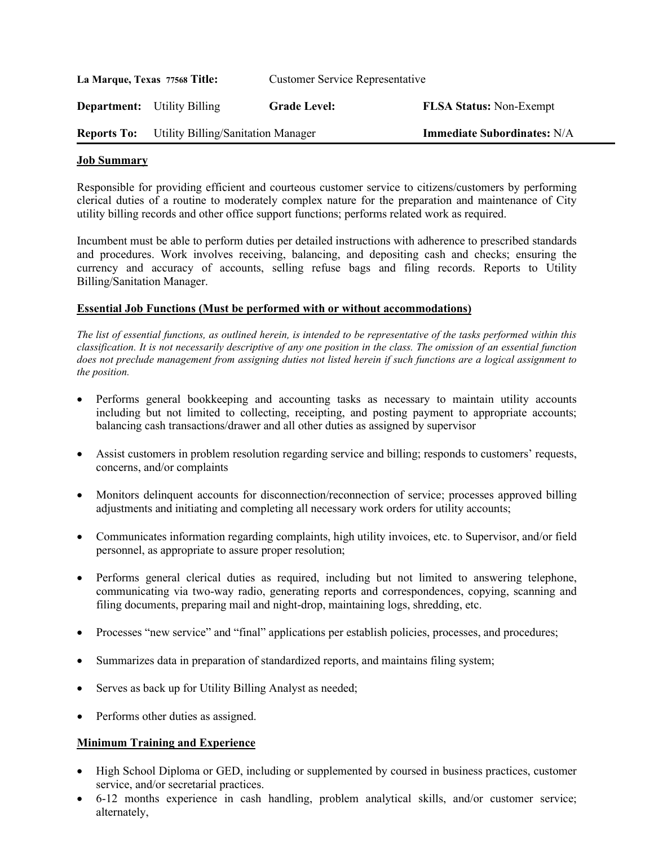| La Marque, Texas 77568 Title: |                                           | <b>Customer Service Representative</b> |                                    |
|-------------------------------|-------------------------------------------|----------------------------------------|------------------------------------|
|                               | <b>Department:</b> Utility Billing        | <b>Grade Level:</b>                    | <b>FLSA Status: Non-Exempt</b>     |
| <b>Reports To:</b>            | <b>Utility Billing/Sanitation Manager</b> |                                        | <b>Immediate Subordinates: N/A</b> |

#### **Job Summary**

Responsible for providing efficient and courteous customer service to citizens/customers by performing clerical duties of a routine to moderately complex nature for the preparation and maintenance of City utility billing records and other office support functions; performs related work as required.

Incumbent must be able to perform duties per detailed instructions with adherence to prescribed standards and procedures. Work involves receiving, balancing, and depositing cash and checks; ensuring the currency and accuracy of accounts, selling refuse bags and filing records. Reports to Utility Billing/Sanitation Manager.

#### **Essential Job Functions (Must be performed with or without accommodations)**

*The list of essential functions, as outlined herein, is intended to be representative of the tasks performed within this classification. It is not necessarily descriptive of any one position in the class. The omission of an essential function does not preclude management from assigning duties not listed herein if such functions are a logical assignment to the position.*

- Performs general bookkeeping and accounting tasks as necessary to maintain utility accounts including but not limited to collecting, receipting, and posting payment to appropriate accounts; balancing cash transactions/drawer and all other duties as assigned by supervisor
- Assist customers in problem resolution regarding service and billing; responds to customers' requests, concerns, and/or complaints
- Monitors delinquent accounts for disconnection/reconnection of service; processes approved billing adjustments and initiating and completing all necessary work orders for utility accounts;
- Communicates information regarding complaints, high utility invoices, etc. to Supervisor, and/or field personnel, as appropriate to assure proper resolution;
- Performs general clerical duties as required, including but not limited to answering telephone, communicating via two-way radio, generating reports and correspondences, copying, scanning and filing documents, preparing mail and night-drop, maintaining logs, shredding, etc.
- Processes "new service" and "final" applications per establish policies, processes, and procedures;
- Summarizes data in preparation of standardized reports, and maintains filing system;
- Serves as back up for Utility Billing Analyst as needed;
- Performs other duties as assigned.

#### **Minimum Training and Experience**

- High School Diploma or GED, including or supplemented by coursed in business practices, customer service, and/or secretarial practices.
- 6-12 months experience in cash handling, problem analytical skills, and/or customer service; alternately,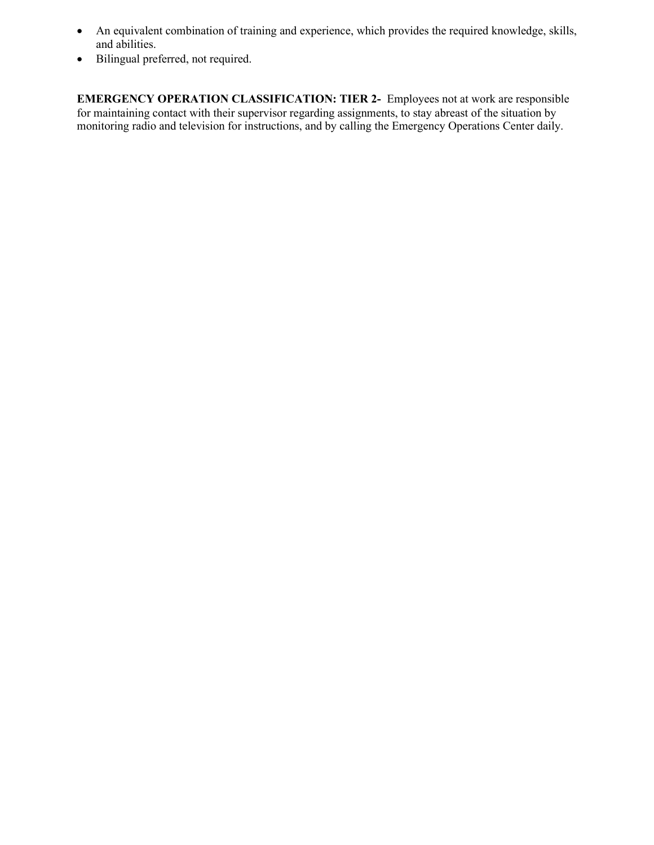- An equivalent combination of training and experience, which provides the required knowledge, skills, and abilities.
- Bilingual preferred, not required.

**EMERGENCY OPERATION CLASSIFICATION: TIER 2-** Employees not at work are responsible for maintaining contact with their supervisor regarding assignments, to stay abreast of the situation by monitoring radio and television for instructions, and by calling the Emergency Operations Center daily.